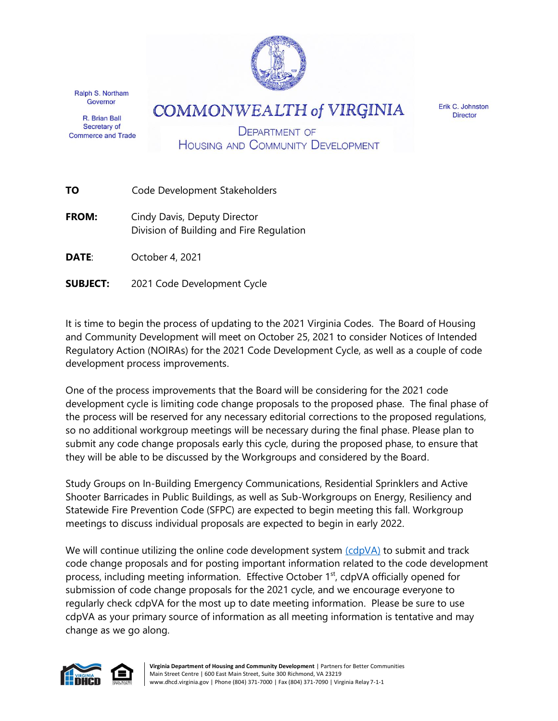

Ralph S. Northam Governor

R. Brian Ball Secretary of **Commerce and Trade**  **COMMONWEALTH of VIRGINIA** 

Erik C. Johnston **Director** 

**DEPARTMENT OF HOUSING AND COMMUNITY DEVELOPMENT** 

- **TO** Code Development Stakeholders
- **FROM:** Cindy Davis, Deputy Director Division of Building and Fire Regulation
- **DATE**: October 4, 2021
- **SUBJECT:** 2021 Code Development Cycle

It is time to begin the process of updating to the 2021 Virginia Codes. The Board of Housing and Community Development will meet on October 25, 2021 to consider Notices of Intended Regulatory Action (NOIRAs) for the 2021 Code Development Cycle, as well as a couple of code development process improvements.

One of the process improvements that the Board will be considering for the 2021 code development cycle is limiting code change proposals to the proposed phase. The final phase of the process will be reserved for any necessary editorial corrections to the proposed regulations, so no additional workgroup meetings will be necessary during the final phase. Please plan to submit any code change proposals early this cycle, during the proposed phase, to ensure that they will be able to be discussed by the Workgroups and considered by the Board.

Study Groups on In-Building Emergency Communications, Residential Sprinklers and Active Shooter Barricades in Public Buildings, as well as Sub-Workgroups on Energy, Resiliency and Statewide Fire Prevention Code (SFPC) are expected to begin meeting this fall. Workgroup meetings to discuss individual proposals are expected to begin in early 2022.

We will continue utilizing the online code development system  $(cdpVA)$  to submit and track code change proposals and for posting important information related to the code development process, including meeting information. Effective October 1<sup>st</sup>, cdpVA officially opened for submission of code change proposals for the 2021 cycle, and we encourage everyone to regularly check cdpVA for the most up to date meeting information. Please be sure to use cdpVA as your primary source of information as all meeting information is tentative and may change as we go along.